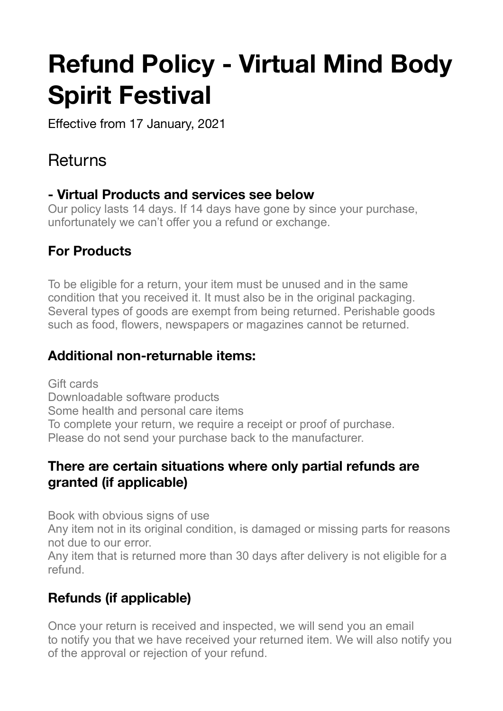# **Refund Policy - Virtual Mind Body Spirit Festival**

Effective from 17 January, 2021

# Returns

#### **- Virtual Products and services see below**

Our policy lasts 14 days. If 14 days have gone by since your purchase, unfortunately we can't offer you a refund or exchange.

#### **For Products**

To be eligible for a return, your item must be unused and in the same condition that you received it. It must also be in the original packaging. Several types of goods are exempt from being returned. Perishable goods such as food, flowers, newspapers or magazines cannot be returned.

#### **Additional non-returnable items:**

Gift cards Downloadable software products Some health and personal care items To complete your return, we require a receipt or proof of purchase. Please do not send your purchase back to the manufacturer.

#### **There are certain situations where only partial refunds are granted (if applicable)**

Book with obvious signs of use

Any item not in its original condition, is damaged or missing parts for reasons not due to our error.

Any item that is returned more than 30 days after delivery is not eligible for a refund.

# **Refunds (if applicable)**

Once your return is received and inspected, we will send you an email to notify you that we have received your returned item. We will also notify you of the approval or rejection of your refund.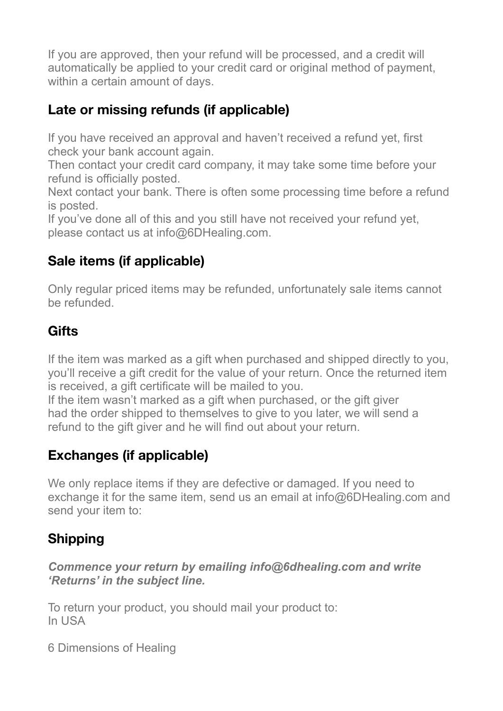If you are approved, then your refund will be processed, and a credit will automatically be applied to your credit card or original method of payment, within a certain amount of days.

## **Late or missing refunds (if applicable)**

If you have received an approval and haven't received a refund yet, first check your bank account again.

Then contact your credit card company, it may take some time before your refund is officially posted.

Next contact your bank. There is often some processing time before a refund is posted.

If you've done all of this and you still have not received your refund yet, please contact us at info@6DHealing.com.

#### **Sale items (if applicable)**

Only regular priced items may be refunded, unfortunately sale items cannot be refunded.

#### **Gifts**

If the item was marked as a gift when purchased and shipped directly to you, you'll receive a gift credit for the value of your return. Once the returned item is received, a gift certificate will be mailed to you.

If the item wasn't marked as a gift when purchased, or the gift giver had the order shipped to themselves to give to you later, we will send a refund to the gift giver and he will find out about your return.

#### **Exchanges (if applicable)**

We only replace items if they are defective or damaged. If you need to exchange it for the same item, send us an email at info@6DHealing.com and send your item to:

## **Shipping**

*Commence your return by emailing info@6dhealing.com and write 'Returns' in the subject line.* 

To return your product, you should mail your product to: In USA

6 Dimensions of Healing